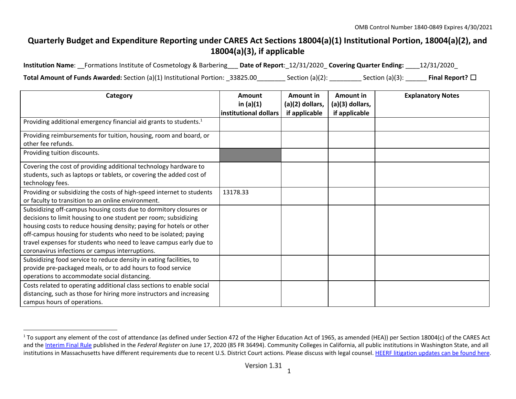## **Quarterly Budget and Expenditure Reporting under CARES Act Sections 18004(a)(1) Institutional Portion, 18004(a)(2), and 18004(a)(3), if applicable**

**Institution Name**: \_\_Formations Institute of Cosmetology & Barbering\_\_\_ **Date of Report**:\_12/31/2020\_ **Covering Quarter Ending:** \_\_\_\_12/31/2020\_

**Total Amount of Funds Awarded:** Section (a)(1) Institutional Portion: \_33825.00\_\_\_\_\_\_\_\_ Section (a)(2): \_\_\_\_\_\_\_\_\_ Section (a)(3): \_\_\_\_\_\_ **Final Report?** ☐

| Category                                                                                                                                                                                                                                                                                                                                                                                                | Amount                               | Amount in                        | Amount in                        | <b>Explanatory Notes</b> |
|---------------------------------------------------------------------------------------------------------------------------------------------------------------------------------------------------------------------------------------------------------------------------------------------------------------------------------------------------------------------------------------------------------|--------------------------------------|----------------------------------|----------------------------------|--------------------------|
|                                                                                                                                                                                                                                                                                                                                                                                                         | in $(a)(1)$<br>institutional dollars | (a)(2) dollars,<br>if applicable | (a)(3) dollars,<br>if applicable |                          |
| Providing additional emergency financial aid grants to students. <sup>1</sup>                                                                                                                                                                                                                                                                                                                           |                                      |                                  |                                  |                          |
| Providing reimbursements for tuition, housing, room and board, or<br>other fee refunds.                                                                                                                                                                                                                                                                                                                 |                                      |                                  |                                  |                          |
| Providing tuition discounts.                                                                                                                                                                                                                                                                                                                                                                            |                                      |                                  |                                  |                          |
| Covering the cost of providing additional technology hardware to<br>students, such as laptops or tablets, or covering the added cost of<br>technology fees.                                                                                                                                                                                                                                             |                                      |                                  |                                  |                          |
| Providing or subsidizing the costs of high-speed internet to students<br>or faculty to transition to an online environment.                                                                                                                                                                                                                                                                             | 13178.33                             |                                  |                                  |                          |
| Subsidizing off-campus housing costs due to dormitory closures or<br>decisions to limit housing to one student per room; subsidizing<br>housing costs to reduce housing density; paying for hotels or other<br>off-campus housing for students who need to be isolated; paying<br>travel expenses for students who need to leave campus early due to<br>coronavirus infections or campus interruptions. |                                      |                                  |                                  |                          |
| Subsidizing food service to reduce density in eating facilities, to<br>provide pre-packaged meals, or to add hours to food service<br>operations to accommodate social distancing.                                                                                                                                                                                                                      |                                      |                                  |                                  |                          |
| Costs related to operating additional class sections to enable social<br>distancing, such as those for hiring more instructors and increasing<br>campus hours of operations.                                                                                                                                                                                                                            |                                      |                                  |                                  |                          |

<sup>&</sup>lt;sup>1</sup> To support any element of the cost of attendance (as defined under Section 472 of the Higher Education Act of 1965, as amended (HEA)) per Section 18004(c) of the CARES Act and the [Interim](https://www.federalregister.gov/documents/2020/06/17/2020-12965/eligibility-of-students-at-institutions-of-higher-education-for-funds-under-the-coronavirus-aid) Final Rule published in the *Federal Register* on June 17, 2020 (85 FR 36494). Community Colleges in California, all public institutions in Washington State, and all institutions in Massachusetts have different requirements due to recent U.S. District Court actions. Please discuss with legal counsel. HEERF [litigation](https://www2.ed.gov/about/offices/list/ope/heerfupdates.html) updates can be found here.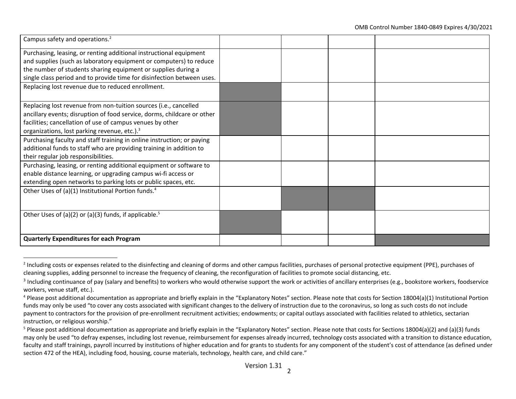| Campus safety and operations. <sup>2</sup>                              |  |  |
|-------------------------------------------------------------------------|--|--|
| Purchasing, leasing, or renting additional instructional equipment      |  |  |
| and supplies (such as laboratory equipment or computers) to reduce      |  |  |
| the number of students sharing equipment or supplies during a           |  |  |
| single class period and to provide time for disinfection between uses.  |  |  |
| Replacing lost revenue due to reduced enrollment.                       |  |  |
|                                                                         |  |  |
| Replacing lost revenue from non-tuition sources (i.e., cancelled        |  |  |
| ancillary events; disruption of food service, dorms, childcare or other |  |  |
| facilities; cancellation of use of campus venues by other               |  |  |
| organizations, lost parking revenue, etc.). <sup>3</sup>                |  |  |
| Purchasing faculty and staff training in online instruction; or paying  |  |  |
| additional funds to staff who are providing training in addition to     |  |  |
| their regular job responsibilities.                                     |  |  |
| Purchasing, leasing, or renting additional equipment or software to     |  |  |
| enable distance learning, or upgrading campus wi-fi access or           |  |  |
| extending open networks to parking lots or public spaces, etc.          |  |  |
| Other Uses of (a)(1) Institutional Portion funds. <sup>4</sup>          |  |  |
|                                                                         |  |  |
| Other Uses of (a)(2) or (a)(3) funds, if applicable. <sup>5</sup>       |  |  |
|                                                                         |  |  |
|                                                                         |  |  |
| <b>Quarterly Expenditures for each Program</b>                          |  |  |

<sup>&</sup>lt;sup>2</sup> Including costs or expenses related to the disinfecting and cleaning of dorms and other campus facilities, purchases of personal protective equipment (PPE), purchases of cleaning supplies, adding personnel to increase the frequency of cleaning, the reconfiguration of facilities to promote social distancing, etc.

 $3$  Including continuance of pay (salary and benefits) to workers who would otherwise support the work or activities of ancillary enterprises (e.g., bookstore workers, foodservice workers, venue staff, etc.).

<sup>&</sup>lt;sup>4</sup> Please post additional documentation as appropriate and briefly explain in the "Explanatory Notes" section. Please note that costs for Section 18004(a)(1) Institutional Portion funds may only be used "to cover any costs associated with significant changes to the delivery of instruction due to the coronavirus, so long as such costs do not include payment to contractors for the provision of pre-enrollment recruitment activities; endowments; or capital outlays associated with facilities related to athletics, sectarian instruction, or religious worship."

<sup>&</sup>lt;sup>5</sup> Please post additional documentation as appropriate and briefly explain in the "Explanatory Notes" section. Please note that costs for Sections 18004(a)(2) and (a)(3) funds may only be used "to defray expenses, including lost revenue, reimbursement for expenses already incurred, technology costs associated with a transition to distance education, faculty and staff trainings, payroll incurred by institutions of higher education and for grants to students for any component of the student's cost of attendance (as defined under section 472 of the HEA), including food, housing, course materials, technology, health care, and child care."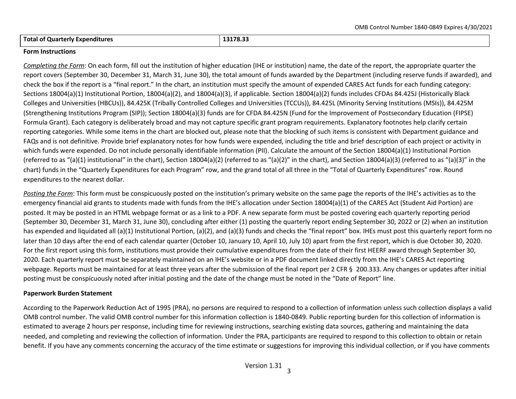**Total of Quarterly Expenditures 13178.33**

## **Form Instructions**

*Completing the Form*: On each form, fill out the institution of higher education (IHE or institution) name, the date of the report, the appropriate quarter the report covers (September 30, December 31, March 31, June 30), the total amount of funds awarded by the Department (including reserve funds if awarded), and check the box if the report is a "final report." In the chart, an institution must specify the amount of expended CARES Act funds for each funding category: Sections 18004(a)(1) Institutional Portion, 18004(a)(2), and 18004(a)(3), if applicable. Section 18004(a)(2) funds includes CFDAs 84.425J (Historically Black Colleges and Universities (HBCUs)), 84.425K (Tribally Controlled Colleges and Universities (TCCUs)), 84.425L (Minority Serving Institutions (MSIs)), 84.425M (Strengthening Institutions Program (SIP)); Section 18004(a)(3) funds are for CFDA 84.425N (Fund for the Improvement of Postsecondary Education (FIPSE) Formula Grant). Each category is deliberately broad and may not capture specific grant program requirements. Explanatory footnotes help clarify certain reporting categories. While some items in the chart are blocked out, please note that the blocking of such items is consistent with Department guidance and FAQs and is not definitive. Provide brief explanatory notes for how funds were expended, including the title and brief description of each project or activity in which funds were expended. Do not include personally identifiable information (PII). Calculate the amount of the Section 18004(a)(1) Institutional Portion (referred to as "(a)(1) institutional" in the chart), Section 18004(a)(2) (referred to as "(a)(2)" in the chart), and Section 18004(a)(3) (referred to as "(a)(3)" in the chart) funds in the "Quarterly Expenditures for each Program" row, and the grand total of all three in the "Total of Quarterly Expenditures" row. Round expenditures to the nearest dollar.

*Posting the Form*: This form must be conspicuously posted on the institution's primary website on the same page the reports of the IHE's activities as to the emergency financial aid grants to students made with funds from the IHE's allocation under Section 18004(a)(1) of the CARES Act (Student Aid Portion) are posted. It may be posted in an HTML webpage format or as a link to a PDF. A new separate form must be posted covering each quarterly reporting period (September 30, December 31, March 31, June 30), concluding after either (1) posting the quarterly report ending September 30, 2022 or (2) when an institution has expended and liquidated all (a)(1) Institutional Portion, (a)(2), and (a)(3) funds and checks the "final report" box. IHEs must post this quarterly report form no later than 10 days after the end of each calendar quarter (October 10, January 10, April 10, July 10) apart from the first report, which is due October 30, 2020. For the first report using this form, institutions must provide their cumulative expenditures from the date of their first HEERF award through September 30, 2020. Each quarterly report must be separately maintained on an IHE's website or in a PDF document linked directly from the IHE's CARES Act reporting webpage. Reports must be maintained for at least three years after the submission of the final report per 2 CFR § 200.333. Any changes or updates after initial posting must be conspicuously noted after initial posting and the date of the change must be noted in the "Date of Report" line.

## **Paperwork Burden Statement**

According to the Paperwork Reduction Act of 1995 (PRA), no persons are required to respond to a collection of information unless such collection displays a valid OMB control number. The valid OMB control number for this information collection is 1840-0849. Public reporting burden for this collection of information is estimated to average 2 hours per response, including time for reviewing instructions, searching existing data sources, gathering and maintaining the data needed, and completing and reviewing the collection of information. Under the PRA, participants are required to respond to this collection to obtain or retain benefit. If you have any comments concerning the accuracy of the time estimate or suggestions for improving this individual collection, or if you have comments